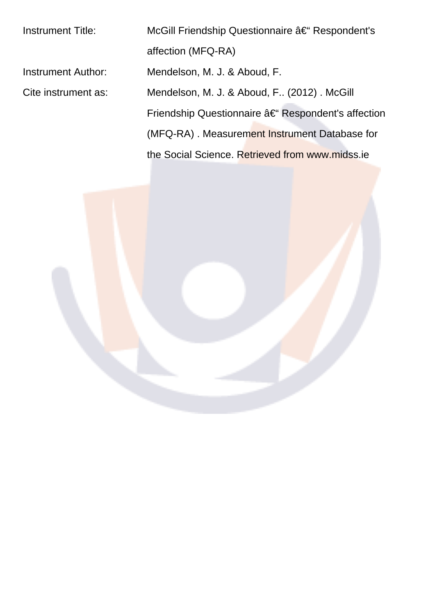| <b>Instrument Title:</b> | McGill Friendship Questionnaire †Respondent's     |  |  |  |  |  |  |
|--------------------------|---------------------------------------------------|--|--|--|--|--|--|
|                          | affection (MFQ-RA)                                |  |  |  |  |  |  |
| Instrument Author:       | Mendelson, M. J. & Aboud, F.                      |  |  |  |  |  |  |
| Cite instrument as:      | Mendelson, M. J. & Aboud, F (2012). McGill        |  |  |  |  |  |  |
|                          | Friendship Questionnaire – Respondent's affection |  |  |  |  |  |  |
|                          | (MFQ-RA). Measurement Instrument Database for     |  |  |  |  |  |  |
|                          | the Social Science. Retrieved from www.midss.ie   |  |  |  |  |  |  |
|                          |                                                   |  |  |  |  |  |  |

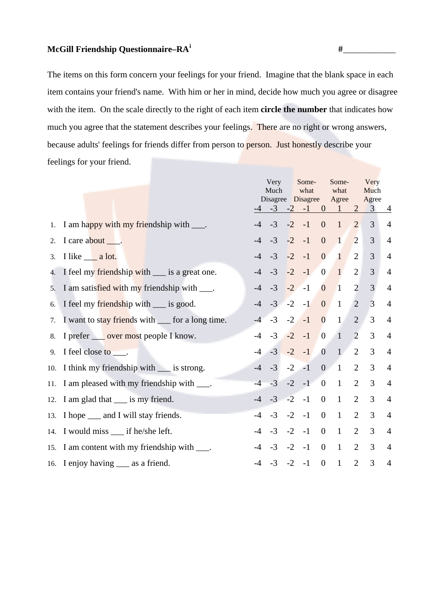## **McGill Friendship Questionnaire–RA<sup>i</sup>** #\_\_\_\_\_\_\_\_\_\_\_\_

The items on this form concern your feelings for your friend. Imagine that the blank space in each item contains your friend's name. With him or her in mind, decide how much you agree or disagree with the item. On the scale directly to the right of each item **circle the number** that indicates how much you agree that the statement describes your feelings. There are no right or wrong answers, because adults' feelings for friends differ from person to person. Just honestly describe your feelings for your friend.

|    |                                                            |      | Very<br>Much<br>$-4$ $-3$ $-2$ $-1$ |      | Some-<br>what<br>Disagree Disagree |                         | Some-<br>what<br>Agree<br>$0 \quad 1$ | 2              | Very<br>Much<br>Agree<br>$\overline{3}$ | $\overline{4}$ |
|----|------------------------------------------------------------|------|-------------------------------------|------|------------------------------------|-------------------------|---------------------------------------|----------------|-----------------------------------------|----------------|
|    | 1. I am happy with my friendship with ____.                | $-4$ | $-3$                                | $-2$ | $-1$                               | $\boldsymbol{0}$        | $\mathbf{1}$                          | $\overline{2}$ | 3                                       | $\overline{4}$ |
| 2. | I care about ____.                                         | $-4$ | $-3$                                | $-2$ | $-1$                               | $\overline{0}$          | $\mathbf{1}$                          | $\overline{2}$ | 3                                       | $\overline{4}$ |
| 3. | I like __ a lot.                                           | $-4$ | $-3$                                | $-2$ | $-1$                               | $\overline{0}$          | $\mathbf{1}$                          | 2              | 3                                       | $\overline{4}$ |
|    | 4. I feel my friendship with ___ is a great one.           | $-4$ | $-3$                                | $-2$ | $-1$                               | $\overline{0}$          | $\mathbf{1}$                          | $\overline{2}$ | 3                                       | $\overline{4}$ |
|    | 5. I am satisfied with my friendship with ____.            | $-4$ | $-3$                                |      | $-2$ $-1$                          | $\overline{0}$          | $\vert$ 1                             | $\overline{2}$ | 3                                       | $\overline{4}$ |
| 6. | I feel my friendship with ___ is good.                     | $-4$ | $-3$ $-2$                           |      | $-1$                               | $\overline{0}$          | $\mathbf{1}$                          | $\overline{2}$ | $\overline{3}$                          | $\overline{4}$ |
| 7. | I want to stay friends with <u>figure</u> for a long time. | $-4$ |                                     |      | $-3$ $-2$ $-1$                     | $\overline{\mathbf{0}}$ | $\mathbf{1}$                          | $\overline{2}$ | 3                                       | $\overline{4}$ |
|    | 8. I prefer <u>over most</u> people I know.                | $-4$ | $-3$ $-2$                           |      | $-1$                               | $\overline{0}$          | $\overline{1}$                        | 2              | $\overline{3}$                          | $\overline{4}$ |
|    | 9. I feel close to $\_\_\$ .                               |      | $-4$ $-3$ $-2$                      |      | $-1$                               |                         | $0 \quad 1$                           | 2              | 3                                       | $\overline{4}$ |
|    | 10. I think my friendship with <u>s</u> is strong.         |      | $-4$ $-3$                           |      | $-2$ $-1$                          |                         | $0 \quad 1$                           | $\overline{2}$ | 3                                       | $\overline{4}$ |
|    | 11. I am pleased with my friendship with ____.             | $-4$ | $-3$                                |      | $-2 - 1$                           | $\overline{0}$          | $\mathbf{1}$                          | $\overline{2}$ | $\overline{3}$                          | $\overline{4}$ |
|    | 12. I am glad that ___ is my friend.                       |      | $-4$ $-3$ $-2$                      |      | $-1$                               | $\overline{0}$          | $\mathbf{1}$                          | $\overline{2}$ | 3                                       | $\overline{4}$ |
|    | 13. I hope _____ and I will stay friends.                  | $-4$ | $-3$                                | $-2$ | $-1$                               | $\overline{0}$          | $\mathbf{1}$                          | $\overline{2}$ | 3                                       | $\overline{4}$ |
|    | 14. I would miss ___ if he/she left.                       |      | $-4$ $-3$                           |      | $-2$ $-1$                          | $\overline{0}$          | $\mathbf{1}$                          | $\overline{2}$ | 3                                       | $\overline{4}$ |
|    | 15. I am content with my friendship with ____.             | $-4$ | $-3$                                |      | $-2 - 1$                           | $\overline{0}$          | $\mathbf{1}$                          | $\overline{2}$ | 3                                       | $\overline{4}$ |
|    | 16. I enjoy having _____ as a friend.                      |      | $-3$                                | $-2$ | $-1$                               | $\boldsymbol{0}$        | $\mathbf{1}$                          | $\overline{2}$ | 3                                       | $\overline{4}$ |